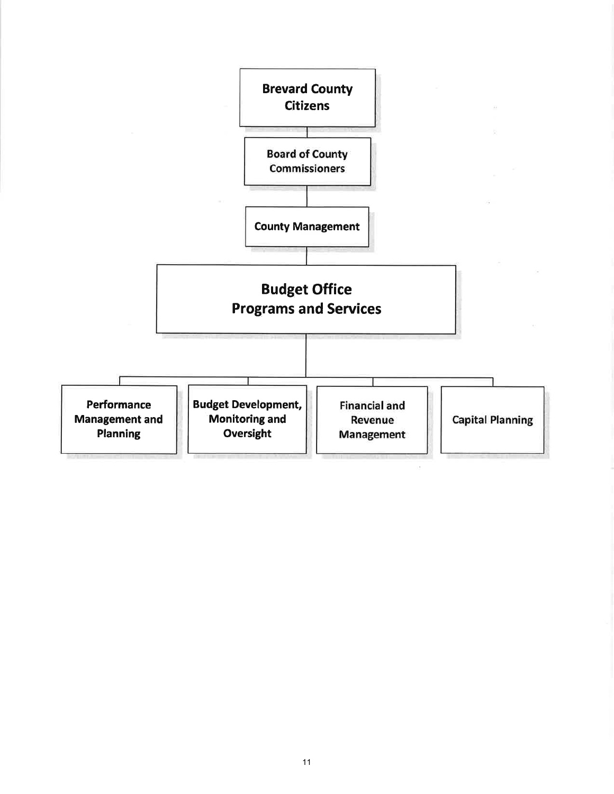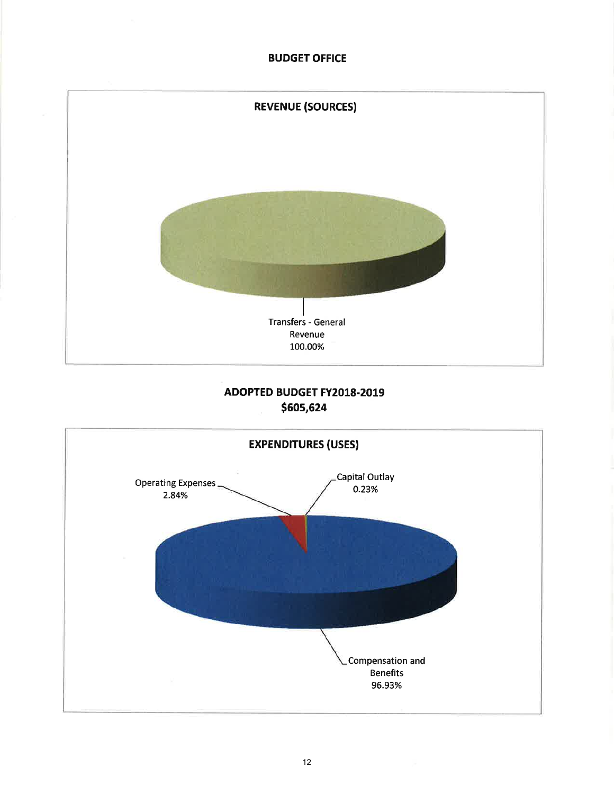## **BUDGET OFFICE**



# **ADOPTED BUDGET FY2018-2019** \$605,624

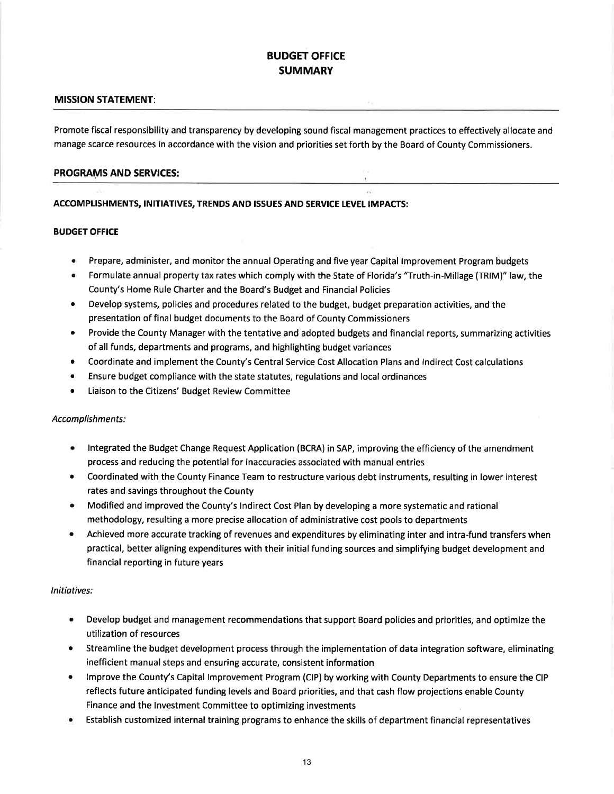## BUDGET OFFICE SUMMARY

#### MISSION STATEMENT:

Promote fiscal responsibility and transparency by developing sound fiscal management practices to effectively allocate and manage scarce resources in accordance with the vision and priorities set forth by the Board of County Commissioners.

#### PROGRAMS AND SERVICES:

#### ACCOMPLISHMENTS, INITIATIVES, TRENDS AND ISSUES AND SERVICE LEVEL IMPACTS:

#### BUDGET OFFICE

- r Prepare, administer, and monitor the annual Operating and five year Capital lmprovement Program budgets
- Formulate annual property tax rates which comply with the State of Florida's "Truth-in-Millage (TRIM)" law, the County's Home Rule Charter and the Board's Budget and Financial Policies
- Develop systems, policies and procedures related to the budget, budget preparation activities, and the presentation of final budget documents to the Board of County Commissioners
- Provide the County Manager with the tentative and adopted budgets and financial reports, summarizing activities of all funds, departments and programs, and highlighting budget variances
- r Coordinate and implement the County's Central Service Cost Allocation Plans and lndirect Cost calculations
- r Ensure budget compliance with the state statutes, regulations and local ordinances
- Liaison to the Citizens' Budget Review Committee

#### Accomplishments:

- lntegrated the Budget Change Request Application (BCRA) in SAP, improving the efficiency of the amendment process and reducing the potential for inaccuracies associated with manual entries
- Coordinated with the County Finance Team to restructure various debt instruments, resulting in lower interest rates and savings throughout the County a
- Modified and improved the County's lndirect Cost Plan by developing a more systematic and rational methodology, resulting a more precise allocation of administrative cost pools to departments a
- Achieved more accurate tracking of revenues and expenditures by eliminating inter and intra-fund transfers when practical, better aligning expenditures with their initial funding sources and simplifying budget development and financial reporting in future years a

#### lnitiatives:

- Develop budget and management recommendations that support Board policies and priorities, and optimize the utilization of resources
- Streamline the budget development process through the implementation of data integration software, eliminating inefficient manual steps and ensuring accurate, consistent information a
- lmprove the County's Capital lmprovement Program (ClP) by working with County Departments to ensure the CIP reflects future anticipated funding levels and Board priorities, and that cash flow projections enable County Finance and the lnvestment Committee to optimizing investments a
- Establish customized internal training programs to enhance the skills of department financial representatives a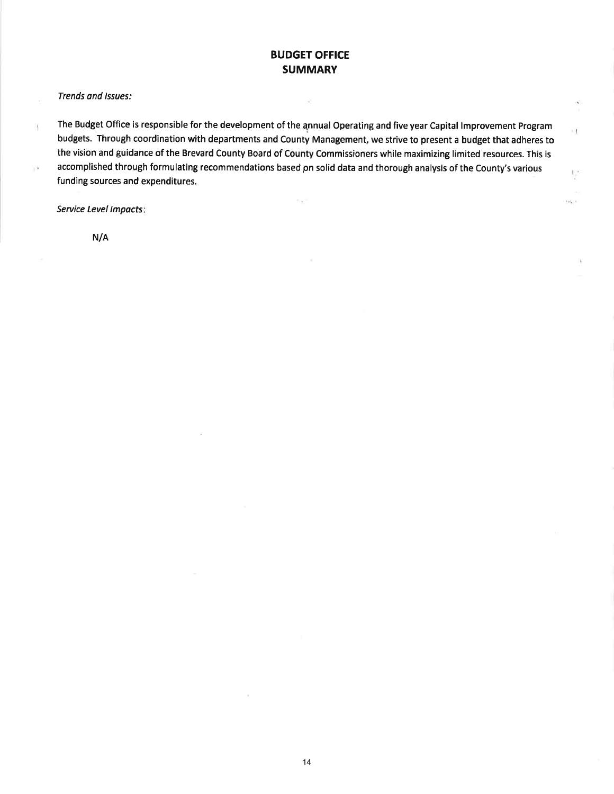## BUDGET OFFICE **SUMMARY**

Ň,

 $\overline{1}$ 

 $\mathcal{O}(\sqrt{3})$ 

Trends and Issues:

ł,

The Budget Office is responsible for the development of the annual Operating and five year Capital Improvement Program budgets. Through coordination with departments and County Management, we strive to present a budget that adheres to the vision and guidance of the Brevard County Board of County Commissioners while maximizing limited resources. This is accomplished through formulating recommendations based pn solid data and thorough analysis of the County's various funding sources and expenditures.

 $\mathbb{R}_{\geq 0}$ 

Service Level lmpacts

N/A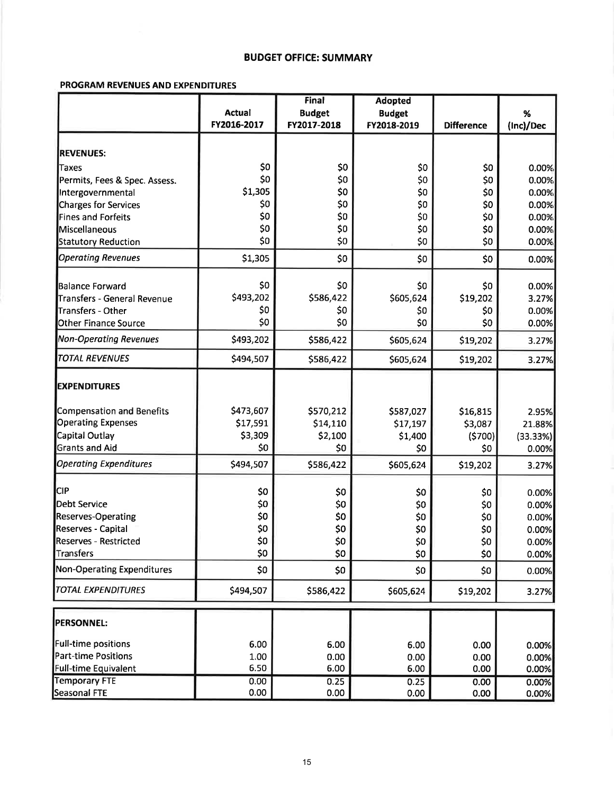### **BUDGET OFFICE: SUMMARY**

### PROGRAM REVENUES AND EXPENDITURES

|                                                         |               | Final         | <b>Adopted</b> |                   |                |
|---------------------------------------------------------|---------------|---------------|----------------|-------------------|----------------|
|                                                         | <b>Actual</b> | <b>Budget</b> | <b>Budget</b>  |                   | %              |
|                                                         | FY2016-2017   | FY2017-2018   | FY2018-2019    | <b>Difference</b> | (Inc)/Dec      |
| <b>REVENUES:</b>                                        |               |               |                |                   |                |
| <b>Taxes</b>                                            | \$0           | \$0           | \$0            | \$0               | 0.00%          |
| Permits, Fees & Spec. Assess.                           | \$0           | \$0           | \$0            | \$0               | 0.00%          |
| Intergovernmental                                       | \$1,305       | \$0           | \$0            | \$0               | 0.00%          |
| Charges for Services                                    | \$0           | \$0           | \$0            | \$0               | 0.00%          |
| Fines and Forfeits                                      | \$0           | \$0           | \$0            | \$0               | 0.00%          |
| Miscellaneous                                           | \$0           | \$0           | \$0            | \$0               | 0.00%          |
|                                                         | \$0           | \$0           | \$0            | \$0               |                |
| <b>Statutory Reduction</b><br><b>Operating Revenues</b> | \$1,305       | \$0           | \$0            | \$0               | 0.00%<br>0.00% |
|                                                         |               |               |                |                   |                |
| <b>Balance Forward</b>                                  | \$0           | \$0           | \$0            | \$0               | 0.00%          |
| Transfers - General Revenue                             | \$493,202     | \$586,422     | \$605,624      | \$19,202          | 3.27%          |
| Transfers - Other                                       | \$0           | \$0           | \$0            | \$0               | 0.00%          |
| <b>Other Finance Source</b>                             | \$0           | \$0           | \$0            | \$0               | 0.00%          |
| <b>Non-Operating Revenues</b>                           | \$493,202     | \$586,422     | \$605,624      | \$19,202          | 3.27%          |
| <b>TOTAL REVENUES</b>                                   | \$494,507     | \$586,422     | \$605,624      | \$19,202          | 3.27%          |
| <b>EXPENDITURES</b>                                     |               |               |                |                   |                |
| Compensation and Benefits                               | \$473,607     | \$570,212     | \$587,027      | \$16,815          | 2.95%          |
| <b>Operating Expenses</b>                               | \$17,591      | \$14,110      | \$17,197       | \$3,087           | 21.88%         |
| Capital Outlay                                          | \$3,309       | \$2,100       | \$1,400        | (5700)            | (33.33%)       |
| <b>Grants and Aid</b>                                   | \$0           | \$0           | \$0            | \$0               | 0.00%          |
| <b>Operating Expenditures</b>                           | \$494,507     | \$586,422     | \$605,624      | \$19,202          | 3.27%          |
|                                                         |               |               |                |                   |                |
| <b>CIP</b>                                              | \$0           | \$0           | \$0            | \$0               | 0.00%          |
| <b>Debt Service</b>                                     | \$0           | \$0           | \$0            | \$0               | 0.00%          |
| Reserves-Operating                                      | \$0           | \$0           | \$0            | \$0               | 0.00%          |
| Reserves - Capital                                      | \$0           | \$0           | \$0            | \$0               | 0.00%          |
| <b>Reserves - Restricted</b>                            | \$0           | \$0           | \$0            | \$0               | 0.00%          |
| Transfers                                               | \$0           | \$0           | \$0            | \$0               | 0.00%          |
| <b>Non-Operating Expenditures</b>                       | \$0           | \$0           | \$0            | \$0               | 0.00%          |
| <b>TOTAL EXPENDITURES</b>                               | \$494,507     | \$586,422     | \$605,624      | \$19,202          | 3.27%          |
| <b>PERSONNEL:</b>                                       |               |               |                |                   |                |
| Full-time positions                                     | 6.00          | 6.00          | 6.00           | 0.00              | 0.00%          |
| <b>Part-time Positions</b>                              | 1.00          | 0.00          | 0.00           | 0.00              | 0.00%          |
| <b>Full-time Equivalent</b>                             | 6.50          | 6.00          | 6.00           | 0.00              | 0.00%          |
| <b>Temporary FTE</b>                                    | 0.00          | 0.25          | 0.25           | 0.00              | 0.00%          |
| Seasonal FTE                                            | 0.00          | 0.00          | 0.00           | 0.00              | 0.00%          |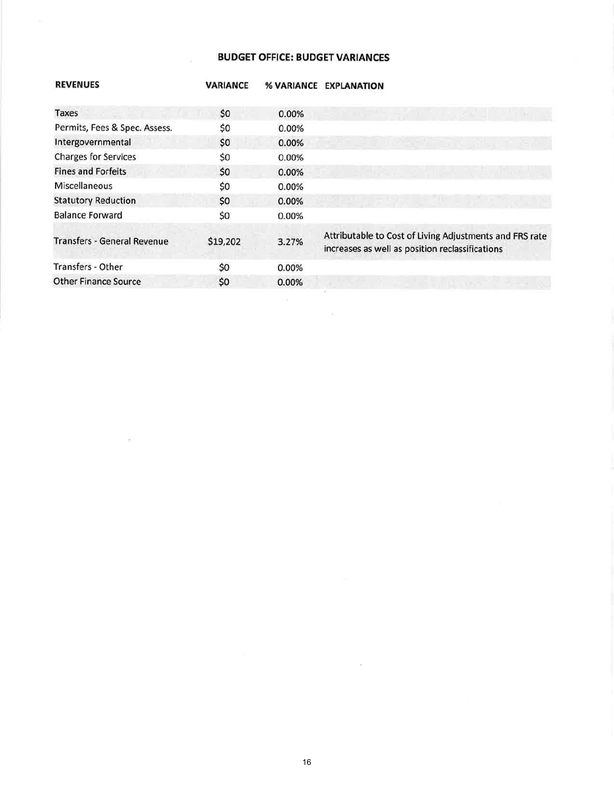## **BUDGET OFFICE: BUDGET VARIANCES**

ò.

 $\bar{\mathcal{R}}$ 

| <b>REVENUES</b>                    | <b><i>VARIANCE</i></b> | % VARIANCE | <b>EXPLANATION</b>                                                                                         |
|------------------------------------|------------------------|------------|------------------------------------------------------------------------------------------------------------|
| Taxes                              | \$0                    | 0.00%      |                                                                                                            |
| Permits, Fees & Spec. Assess.      | \$0                    | 0.00%      |                                                                                                            |
| Intergovernmental                  | \$0                    | 0.00%      | i waxaa mid ah dhista m                                                                                    |
| <b>Charges for Services</b>        | \$0                    | 0.00%      |                                                                                                            |
| <b>Fines and Forfeits</b>          | \$0                    | 0.00%      |                                                                                                            |
| Miscellaneous                      | \$0                    | 0.00%      |                                                                                                            |
| <b>Statutory Reduction</b>         | \$0                    | 0.00%      |                                                                                                            |
| <b>Balance Forward</b>             | \$0                    | 0.00%      |                                                                                                            |
| <b>Transfers - General Revenue</b> | \$19,202               | 3.27%      | Attributable to Cost of Living Adjustments and FRS rate<br>increases as well as position reclassifications |
| Transfers - Other                  | \$0                    | 0.00%      |                                                                                                            |
| <b>Other Finance Source</b>        | \$0                    | 0.00%      |                                                                                                            |

 $\sim$  10  $^{-1}$ 

16

 $\sim$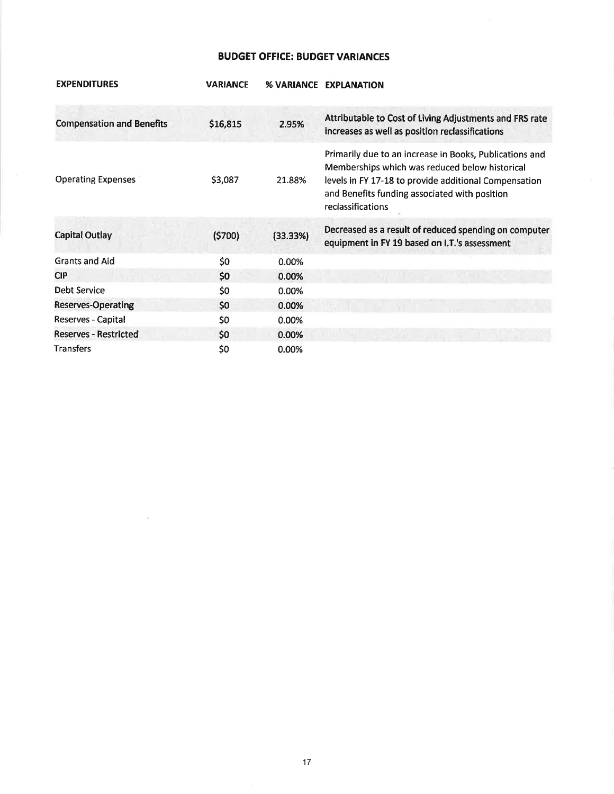## **BUDGET OFFICE: BUDGET VARIANCES**

| <b>EXPENDITURES</b>              | <b>VARIANCE</b> | % VARIANCE | <b>EXPLANATION</b>                                                                                                                                                                                                                       |
|----------------------------------|-----------------|------------|------------------------------------------------------------------------------------------------------------------------------------------------------------------------------------------------------------------------------------------|
| <b>Compensation and Benefits</b> | \$16,815        | 2.95%      | Attributable to Cost of Living Adjustments and FRS rate<br>increases as well as position reclassifications                                                                                                                               |
| <b>Operating Expenses</b>        | \$3,087         | 21.88%     | Primarily due to an increase in Books, Publications and<br>Memberships which was reduced below historical<br>levels in FY 17-18 to provide additional Compensation<br>and Benefits funding associated with position<br>reclassifications |
| <b>Capital Outlay</b>            | (5700)          | (33.33%)   | Decreased as a result of reduced spending on computer<br>equipment in FY 19 based on I.T.'s assessment                                                                                                                                   |
| <b>Grants and Aid</b>            | \$0             | 0.00%      |                                                                                                                                                                                                                                          |
| <b>CIP</b>                       | \$0             | 0.00%      |                                                                                                                                                                                                                                          |
| Debt Service                     | \$0             | 0.00%      |                                                                                                                                                                                                                                          |
| <b>Reserves-Operating</b>        | \$0             | 0.00%      |                                                                                                                                                                                                                                          |
| Reserves - Capital               | \$0             | 0.00%      |                                                                                                                                                                                                                                          |
| <b>Reserves - Restricted</b>     | \$0             | 0.00%      |                                                                                                                                                                                                                                          |
| <b>Transfers</b>                 | \$0             | 0.00%      |                                                                                                                                                                                                                                          |

 $\sim$